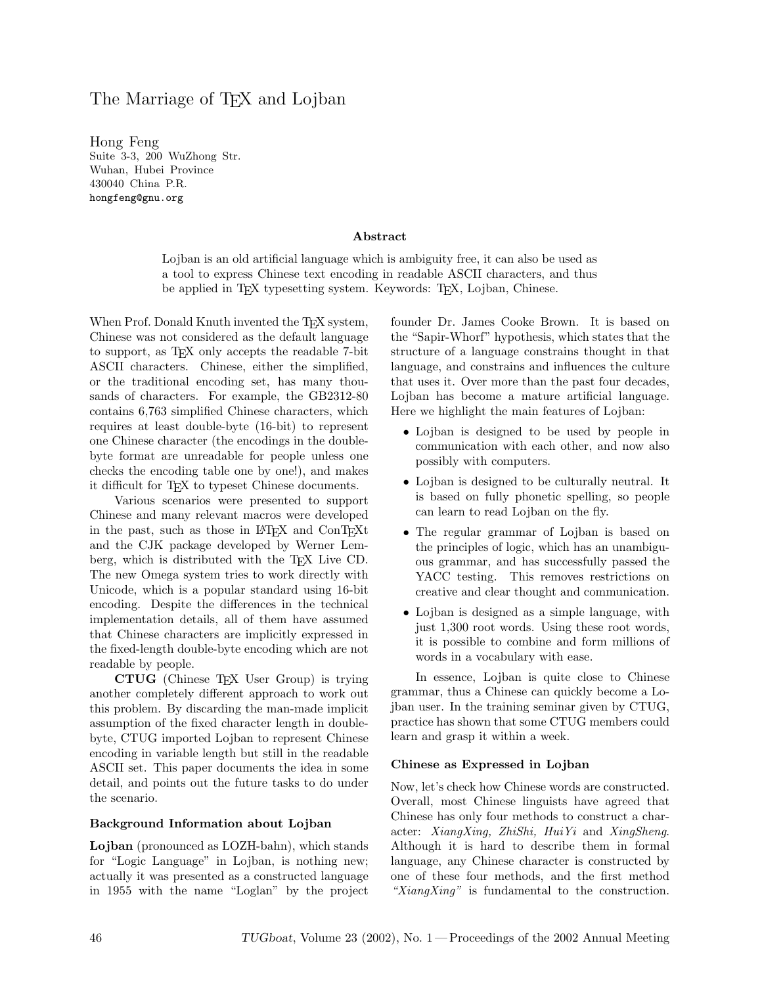# The Marriage of T<sub>F</sub>X and Lojban

Hong Feng Suite 3-3, 200 WuZhong Str. Wuhan, Hubei Province 430040 China P.R. hongfeng@gnu.org

#### Abstract

Lojban is an old artificial language which is ambiguity free, it can also be used as a tool to express Chinese text encoding in readable ASCII characters, and thus be applied in T<sub>EX</sub> typesetting system. Keywords: T<sub>EX</sub>, Lojban, Chinese.

When Prof. Donald Knuth invented the TEX system, Chinese was not considered as the default language to support, as TEX only accepts the readable 7-bit ASCII characters. Chinese, either the simplified, or the traditional encoding set, has many thousands of characters. For example, the GB2312-80 contains 6,763 simplified Chinese characters, which requires at least double-byte (16-bit) to represent one Chinese character (the encodings in the doublebyte format are unreadable for people unless one checks the encoding table one by one!), and makes it difficult for TEX to typeset Chinese documents.

Various scenarios were presented to support Chinese and many relevant macros were developed in the past, such as those in LATEX and ConTEXt and the CJK package developed by Werner Lemberg, which is distributed with the TEX Live CD. The new Omega system tries to work directly with Unicode, which is a popular standard using 16-bit encoding. Despite the differences in the technical implementation details, all of them have assumed that Chinese characters are implicitly expressed in the fixed-length double-byte encoding which are not readable by people.

CTUG (Chinese TEX User Group) is trying another completely different approach to work out this problem. By discarding the man-made implicit assumption of the fixed character length in doublebyte, CTUG imported Lojban to represent Chinese encoding in variable length but still in the readable ASCII set. This paper documents the idea in some detail, and points out the future tasks to do under the scenario.

#### Background Information about Lojban

Lojban (pronounced as LOZH-bahn), which stands for "Logic Language" in Lojban, is nothing new; actually it was presented as a constructed language in 1955 with the name "Loglan" by the project founder Dr. James Cooke Brown. It is based on the "Sapir-Whorf" hypothesis, which states that the structure of a language constrains thought in that language, and constrains and influences the culture that uses it. Over more than the past four decades, Lojban has become a mature artificial language. Here we highlight the main features of Lojban:

- Lojban is designed to be used by people in communication with each other, and now also possibly with computers.
- Lojban is designed to be culturally neutral. It is based on fully phonetic spelling, so people can learn to read Lojban on the fly.
- The regular grammar of Lojban is based on the principles of logic, which has an unambiguous grammar, and has successfully passed the YACC testing. This removes restrictions on creative and clear thought and communication.
- Lojban is designed as a simple language, with just 1,300 root words. Using these root words, it is possible to combine and form millions of words in a vocabulary with ease.

In essence, Lojban is quite close to Chinese grammar, thus a Chinese can quickly become a Lojban user. In the training seminar given by CTUG, practice has shown that some CTUG members could learn and grasp it within a week.

#### Chinese as Expressed in Lojban

Now, let's check how Chinese words are constructed. Overall, most Chinese linguists have agreed that Chinese has only four methods to construct a character: XiangXing, ZhiShi, HuiYi and XingSheng. Although it is hard to describe them in formal language, any Chinese character is constructed by one of these four methods, and the first method " $XiangXing"$  is fundamental to the construction.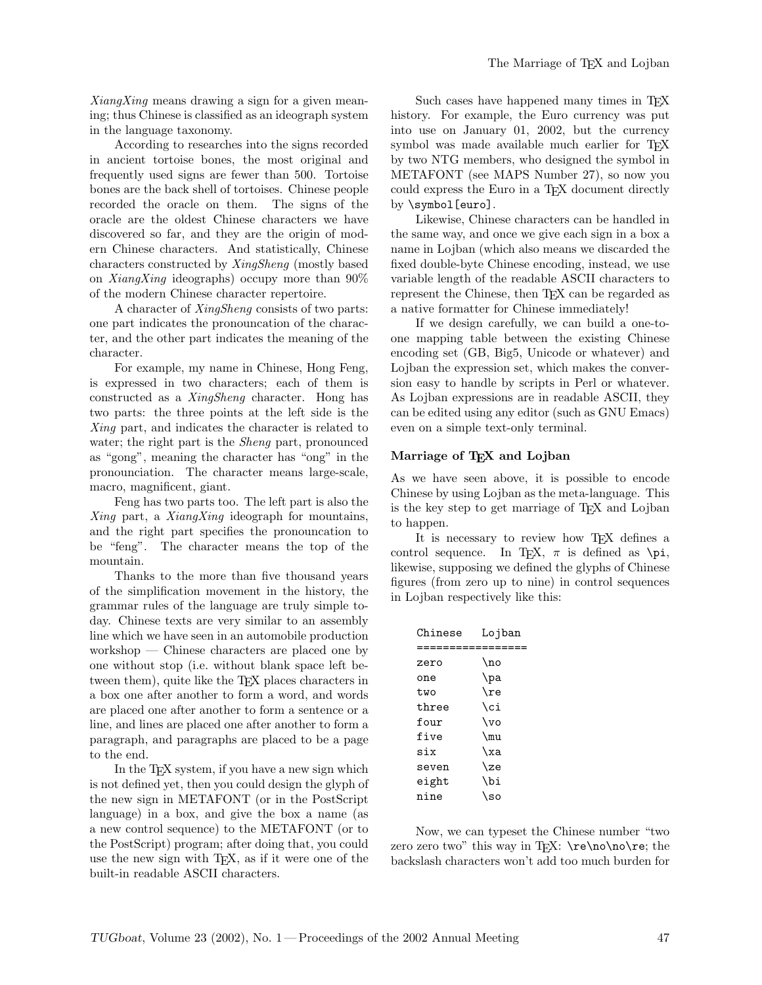$XiangXing$  means drawing a sign for a given meaning; thus Chinese is classified as an ideograph system in the language taxonomy.

According to researches into the signs recorded in ancient tortoise bones, the most original and frequently used signs are fewer than 500. Tortoise bones are the back shell of tortoises. Chinese people recorded the oracle on them. The signs of the oracle are the oldest Chinese characters we have discovered so far, and they are the origin of modern Chinese characters. And statistically, Chinese characters constructed by XingSheng (mostly based on XiangXing ideographs) occupy more than  $90\%$ of the modern Chinese character repertoire.

A character of XingSheng consists of two parts: one part indicates the pronouncation of the character, and the other part indicates the meaning of the character.

For example, my name in Chinese, Hong Feng, is expressed in two characters; each of them is constructed as a XingSheng character. Hong has two parts: the three points at the left side is the Xing part, and indicates the character is related to water; the right part is the *Sheng* part, pronounced as "gong", meaning the character has "ong" in the pronounciation. The character means large-scale, macro, magnificent, giant.

Feng has two parts too. The left part is also the  $Xing$  part, a  $XiangXing$  ideograph for mountains, and the right part specifies the pronouncation to be "feng". The character means the top of the mountain.

Thanks to the more than five thousand years of the simplification movement in the history, the grammar rules of the language are truly simple today. Chinese texts are very similar to an assembly line which we have seen in an automobile production workshop — Chinese characters are placed one by one without stop (i.e. without blank space left between them), quite like the TEX places characters in a box one after another to form a word, and words are placed one after another to form a sentence or a line, and lines are placed one after another to form a paragraph, and paragraphs are placed to be a page to the end.

In the T<sub>EX</sub> system, if you have a new sign which is not defined yet, then you could design the glyph of the new sign in METAFONT (or in the PostScript language) in a box, and give the box a name (as a new control sequence) to the METAFONT (or to the PostScript) program; after doing that, you could use the new sign with TEX, as if it were one of the built-in readable ASCII characters.

Such cases have happened many times in T<sub>E</sub>X history. For example, the Euro currency was put into use on January 01, 2002, but the currency symbol was made available much earlier for TFX by two NTG members, who designed the symbol in METAFONT (see MAPS Number 27), so now you could express the Euro in a TEX document directly by \symbol[euro].

Likewise, Chinese characters can be handled in the same way, and once we give each sign in a box a name in Lojban (which also means we discarded the fixed double-byte Chinese encoding, instead, we use variable length of the readable ASCII characters to represent the Chinese, then T<sub>EX</sub> can be regarded as a native formatter for Chinese immediately!

If we design carefully, we can build a one-toone mapping table between the existing Chinese encoding set (GB, Big5, Unicode or whatever) and Lojban the expression set, which makes the conversion easy to handle by scripts in Perl or whatever. As Lojban expressions are in readable ASCII, they can be edited using any editor (such as GNU Emacs) even on a simple text-only terminal.

#### Marriage of TEX and Lojban

As we have seen above, it is possible to encode Chinese by using Lojban as the meta-language. This is the key step to get marriage of TEX and Lojban to happen.

It is necessary to review how TFX defines a control sequence. In TEX,  $\pi$  is defined as  $\pi$ , likewise, supposing we defined the glyphs of Chinese figures (from zero up to nine) in control sequences in Lojban respectively like this:

| Chinese | Lojban    |
|---------|-----------|
|         |           |
| zero    | \no       |
| one     | \pa       |
| t.wo    | \re       |
| three   | \ci       |
| four    | \vo       |
| five    | \mu       |
| six     | \xa       |
| seven   | \ze       |
| eight   | \bi       |
| nine    | <b>SO</b> |

Now, we can typeset the Chinese number "two zero zero two" this way in T<sub>E</sub>X:  $\re\no\re; the$ backslash characters won't add too much burden for